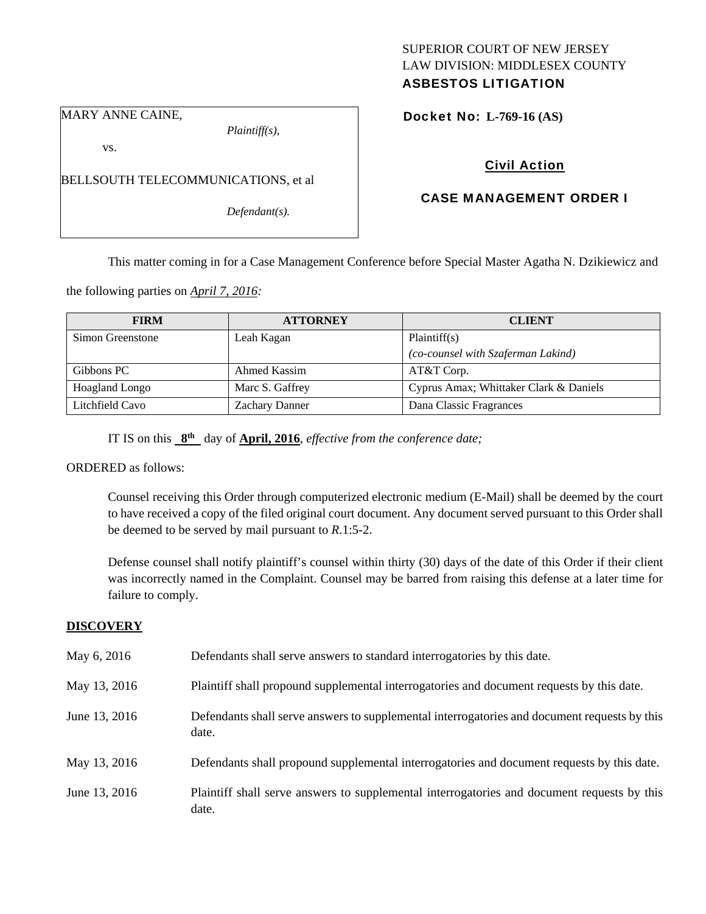# SUPERIOR COURT OF NEW JERSEY LAW DIVISION: MIDDLESEX COUNTY

## ASBESTOS LITIGATION

MARY ANNE CAINE,

*Plaintiff(s),* 

Docket No: **L-769-16 (AS)** 

vs.

BELLSOUTH TELECOMMUNICATIONS, et al

*Defendant(s).* 

## Civil Action

## CASE MANAGEMENT ORDER I

This matter coming in for a Case Management Conference before Special Master Agatha N. Dzikiewicz and

the following parties on *April 7, 2016:* 

| <b>FIRM</b>           | <b>ATTORNEY</b>       | <b>CLIENT</b>                          |
|-----------------------|-----------------------|----------------------------------------|
| Simon Greenstone      | Leah Kagan            | Plaintiff(s)                           |
|                       |                       | (co-counsel with Szaferman Lakind)     |
| Gibbons PC            | Ahmed Kassim          | $AT&T$ Corp.                           |
| <b>Hoagland Longo</b> | Marc S. Gaffrey       | Cyprus Amax; Whittaker Clark & Daniels |
| Litchfield Cavo       | <b>Zachary Danner</b> | Dana Classic Fragrances                |

IT IS on this **8th** day of **April, 2016**, *effective from the conference date;*

ORDERED as follows:

Counsel receiving this Order through computerized electronic medium (E-Mail) shall be deemed by the court to have received a copy of the filed original court document. Any document served pursuant to this Order shall be deemed to be served by mail pursuant to *R*.1:5-2.

Defense counsel shall notify plaintiff's counsel within thirty (30) days of the date of this Order if their client was incorrectly named in the Complaint. Counsel may be barred from raising this defense at a later time for failure to comply.

### **DISCOVERY**

| May 6, 2016   | Defendants shall serve answers to standard interrogatories by this date.                              |
|---------------|-------------------------------------------------------------------------------------------------------|
| May 13, 2016  | Plaintiff shall propound supplemental interrogatories and document requests by this date.             |
| June 13, 2016 | Defendants shall serve answers to supplemental interrogatories and document requests by this<br>date. |
| May 13, 2016  | Defendants shall propound supplemental interrogatories and document requests by this date.            |
| June 13, 2016 | Plaintiff shall serve answers to supplemental interrogatories and document requests by this<br>date.  |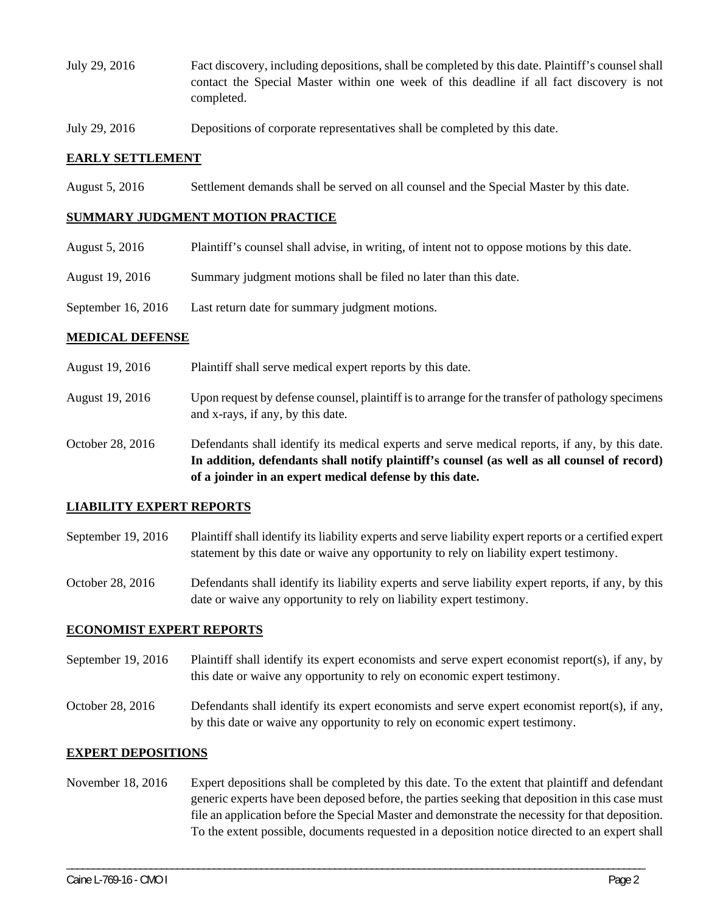- July 29, 2016 Fact discovery, including depositions, shall be completed by this date. Plaintiff's counsel shall contact the Special Master within one week of this deadline if all fact discovery is not completed.
- July 29, 2016 Depositions of corporate representatives shall be completed by this date.

#### **EARLY SETTLEMENT**

August 5, 2016 Settlement demands shall be served on all counsel and the Special Master by this date.

#### **SUMMARY JUDGMENT MOTION PRACTICE**

- August 5, 2016 Plaintiff's counsel shall advise, in writing, of intent not to oppose motions by this date.
- August 19, 2016 Summary judgment motions shall be filed no later than this date.
- September 16, 2016 Last return date for summary judgment motions.

#### **MEDICAL DEFENSE**

- August 19, 2016 Plaintiff shall serve medical expert reports by this date.
- August 19, 2016 Upon request by defense counsel, plaintiff is to arrange for the transfer of pathology specimens and x-rays, if any, by this date.
- October 28, 2016 Defendants shall identify its medical experts and serve medical reports, if any, by this date. **In addition, defendants shall notify plaintiff's counsel (as well as all counsel of record) of a joinder in an expert medical defense by this date.**

#### **LIABILITY EXPERT REPORTS**

- September 19, 2016 Plaintiff shall identify its liability experts and serve liability expert reports or a certified expert statement by this date or waive any opportunity to rely on liability expert testimony.
- October 28, 2016 Defendants shall identify its liability experts and serve liability expert reports, if any, by this date or waive any opportunity to rely on liability expert testimony.

#### **ECONOMIST EXPERT REPORTS**

- September 19, 2016 Plaintiff shall identify its expert economists and serve expert economist report(s), if any, by this date or waive any opportunity to rely on economic expert testimony.
- October 28, 2016 Defendants shall identify its expert economists and serve expert economist report(s), if any, by this date or waive any opportunity to rely on economic expert testimony.

#### **EXPERT DEPOSITIONS**

November 18, 2016 Expert depositions shall be completed by this date. To the extent that plaintiff and defendant generic experts have been deposed before, the parties seeking that deposition in this case must file an application before the Special Master and demonstrate the necessity for that deposition. To the extent possible, documents requested in a deposition notice directed to an expert shall

\_\_\_\_\_\_\_\_\_\_\_\_\_\_\_\_\_\_\_\_\_\_\_\_\_\_\_\_\_\_\_\_\_\_\_\_\_\_\_\_\_\_\_\_\_\_\_\_\_\_\_\_\_\_\_\_\_\_\_\_\_\_\_\_\_\_\_\_\_\_\_\_\_\_\_\_\_\_\_\_\_\_\_\_\_\_\_\_\_\_\_\_\_\_\_\_\_\_\_\_\_\_\_\_\_\_\_\_\_\_